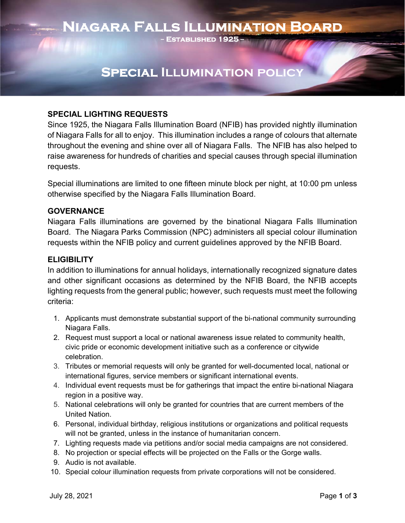# **Niagara Falls Illumination Board**

**− Established 1925 –** 

## **Special Illumination policy**

### **SPECIAL LIGHTING REQUESTS**

Since 1925, the Niagara Falls Illumination Board (NFIB) has provided nightly illumination of Niagara Falls for all to enjoy. This illumination includes a range of colours that alternate throughout the evening and shine over all of Niagara Falls. The NFIB has also helped to raise awareness for hundreds of charities and special causes through special illumination requests.

Special illuminations are limited to one fifteen minute block per night, at 10:00 pm unless otherwise specified by the Niagara Falls Illumination Board.

#### **GOVERNANCE**

Niagara Falls illuminations are governed by the binational Niagara Falls Illumination Board. The Niagara Parks Commission (NPC) administers all special colour illumination requests within the NFIB policy and current guidelines approved by the NFIB Board.

### **ELIGIBILITY**

In addition to illuminations for annual holidays, internationally recognized signature dates and other significant occasions as determined by the NFIB Board, the NFIB accepts lighting requests from the general public; however, such requests must meet the following criteria:

- 1. Applicants must demonstrate substantial support of the bi-national community surrounding Niagara Falls.
- 2. Request must support a local or national awareness issue related to community health, civic pride or economic development initiative such as a conference or citywide celebration.
- 3. Tributes or memorial requests will only be granted for well-documented local, national or international figures, service members or significant international events.
- 4. Individual event requests must be for gatherings that impact the entire bi-national Niagara region in a positive way.
- 5. National celebrations will only be granted for countries that are current members of the United Nation.
- 6. Personal, individual birthday, religious institutions or organizations and political requests will not be granted, unless in the instance of humanitarian concern.
- 7. Lighting requests made via petitions and/or social media campaigns are not considered.
- 8. No projection or special effects will be projected on the Falls or the Gorge walls.
- 9. Audio is not available.
- 10. Special colour illumination requests from private corporations will not be considered.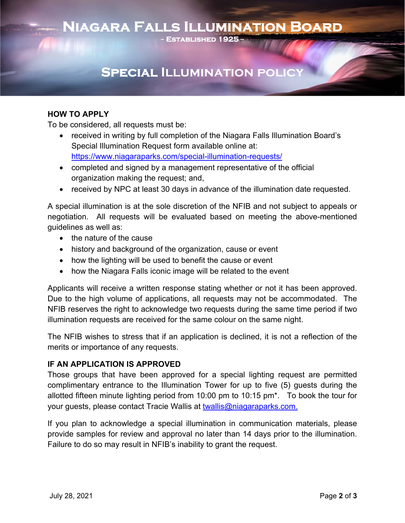## **Niagara Falls Illumination Board**

**− Established 1925 –** 

## **Special Illumination policy**

### **HOW TO APPLY**

To be considered, all requests must be:

- received in writing by full completion of the Niagara Falls Illumination Board's Special Illumination Request form available online at: <https://www.niagaraparks.com/special-illumination-requests>/
- completed and signed by a management representative of the official organization making the request; and,
- received by NPC at least 30 days in advance of the illumination date requested.

A special illumination is at the sole discretion of the NFIB and not subject to appeals or negotiation. All requests will be evaluated based on meeting the above-mentioned guidelines as well as:

- the nature of the cause
- history and background of the organization, cause or event
- how the lighting will be used to benefit the cause or event
- how the Niagara Falls iconic image will be related to the event

 Applicants will receive a written response stating whether or not it has been approved. Due to the high volume of applications, all requests may not be accommodated. The NFIB reserves the right to acknowledge two requests during the same time period if two illumination requests are received for the same colour on the same night.

 The NFIB wishes to stress that if an application is declined, it is not a reflection of the merits or importance of any requests.

### **IF AN APPLICATION IS APPROVED**

 allotted fifteen minute lighting period from 10:00 pm to 10:15 pm\*. To book the tour for your guests, please contact Tracie Wallis at <u>[twallis@niagaraparks.com.](mailto:twallis@niagaraparks.com)</u> Those groups that have been approved for a special lighting request are permitted complimentary entrance to the Illumination Tower for up to five (5) guests during the

If you plan to acknowledge a special illumination in communication materials, please provide samples for review and approval no later than 14 days prior to the illumination. Failure to do so may result in NFIB's inability to grant the request.